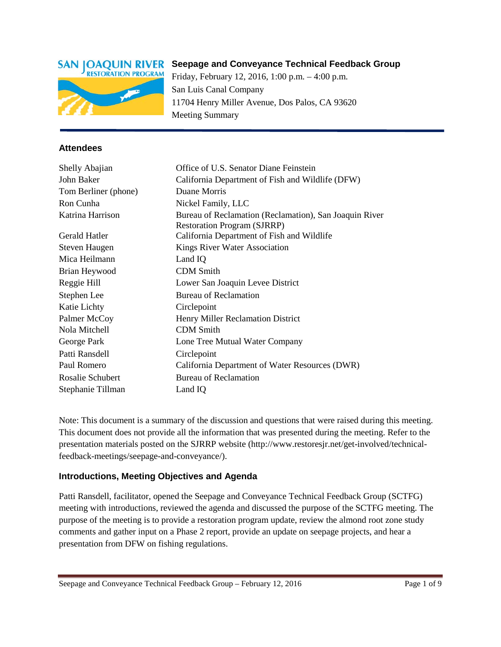

# **Seepage and Conveyance Technical Feedback Group**

Friday, February 12, 2016, 1:00 p.m. – 4:00 p.m. San Luis Canal Company 11704 Henry Miller Avenue, Dos Palos, CA 93620 Meeting Summary

#### **Attendees**

| Shelly Abajian       | Office of U.S. Senator Diane Feinstein                 |
|----------------------|--------------------------------------------------------|
| John Baker           | California Department of Fish and Wildlife (DFW)       |
| Tom Berliner (phone) | Duane Morris                                           |
| Ron Cunha            | Nickel Family, LLC                                     |
| Katrina Harrison     | Bureau of Reclamation (Reclamation), San Joaquin River |
|                      | <b>Restoration Program (SJRRP)</b>                     |
| Gerald Hatler        | California Department of Fish and Wildlife             |
| Steven Haugen        | Kings River Water Association                          |
| Mica Heilmann        | Land IQ                                                |
| Brian Heywood        | <b>CDM</b> Smith                                       |
| Reggie Hill          | Lower San Joaquin Levee District                       |
| Stephen Lee          | <b>Bureau of Reclamation</b>                           |
| Katie Lichty         | Circlepoint                                            |
| Palmer McCoy         | Henry Miller Reclamation District                      |
| Nola Mitchell        | <b>CDM</b> Smith                                       |
| George Park          | Lone Tree Mutual Water Company                         |
| Patti Ransdell       | Circlepoint                                            |
| Paul Romero          | California Department of Water Resources (DWR)         |
| Rosalie Schubert     | <b>Bureau of Reclamation</b>                           |
| Stephanie Tillman    | Land IQ                                                |

Note: This document is a summary of the discussion and questions that were raised during this meeting. This document does not provide all the information that was presented during the meeting. Refer to the presentation materials posted on the SJRRP website (http://www.restoresjr.net/get-involved/technicalfeedback-meetings/seepage-and-conveyance/).

#### **Introductions, Meeting Objectives and Agenda**

Patti Ransdell, facilitator, opened the Seepage and Conveyance Technical Feedback Group (SCTFG) meeting with introductions, reviewed the agenda and discussed the purpose of the SCTFG meeting. The purpose of the meeting is to provide a restoration program update, review the almond root zone study comments and gather input on a Phase 2 report, provide an update on seepage projects, and hear a presentation from DFW on fishing regulations.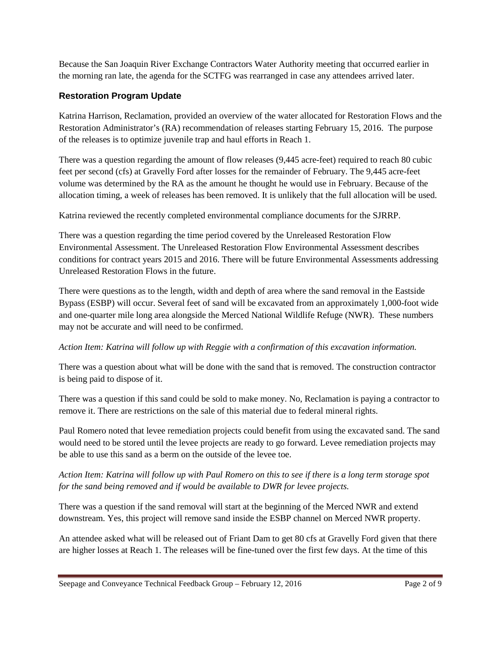Because the San Joaquin River Exchange Contractors Water Authority meeting that occurred earlier in the morning ran late, the agenda for the SCTFG was rearranged in case any attendees arrived later.

# **Restoration Program Update**

Katrina Harrison, Reclamation, provided an overview of the water allocated for Restoration Flows and the Restoration Administrator's (RA) recommendation of releases starting February 15, 2016. The purpose of the releases is to optimize juvenile trap and haul efforts in Reach 1.

There was a question regarding the amount of flow releases (9,445 acre-feet) required to reach 80 cubic feet per second (cfs) at Gravelly Ford after losses for the remainder of February. The 9,445 acre-feet volume was determined by the RA as the amount he thought he would use in February. Because of the allocation timing, a week of releases has been removed. It is unlikely that the full allocation will be used.

Katrina reviewed the recently completed environmental compliance documents for the SJRRP.

There was a question regarding the time period covered by the Unreleased Restoration Flow Environmental Assessment. The Unreleased Restoration Flow Environmental Assessment describes conditions for contract years 2015 and 2016. There will be future Environmental Assessments addressing Unreleased Restoration Flows in the future.

There were questions as to the length, width and depth of area where the sand removal in the Eastside Bypass (ESBP) will occur. Several feet of sand will be excavated from an approximately 1,000-foot wide and one-quarter mile long area alongside the Merced National Wildlife Refuge (NWR). These numbers may not be accurate and will need to be confirmed.

# *Action Item: Katrina will follow up with Reggie with a confirmation of this excavation information.*

There was a question about what will be done with the sand that is removed. The construction contractor is being paid to dispose of it.

There was a question if this sand could be sold to make money. No, Reclamation is paying a contractor to remove it. There are restrictions on the sale of this material due to federal mineral rights.

Paul Romero noted that levee remediation projects could benefit from using the excavated sand. The sand would need to be stored until the levee projects are ready to go forward. Levee remediation projects may be able to use this sand as a berm on the outside of the levee toe.

## *Action Item: Katrina will follow up with Paul Romero on this to see if there is a long term storage spot for the sand being removed and if would be available to DWR for levee projects.*

There was a question if the sand removal will start at the beginning of the Merced NWR and extend downstream. Yes, this project will remove sand inside the ESBP channel on Merced NWR property.

An attendee asked what will be released out of Friant Dam to get 80 cfs at Gravelly Ford given that there are higher losses at Reach 1. The releases will be fine-tuned over the first few days. At the time of this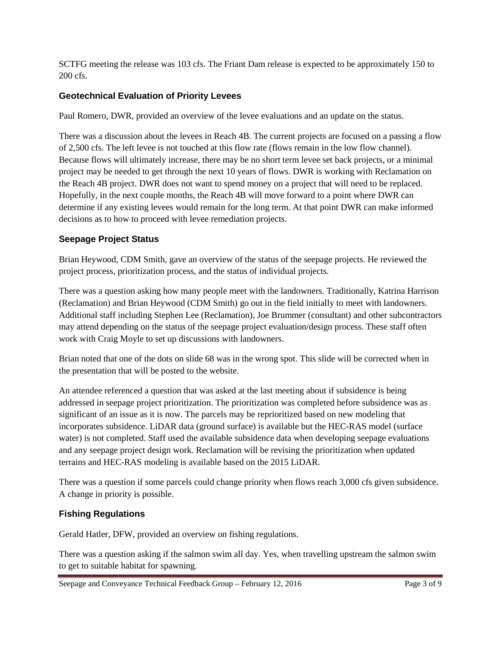SCTFG meeting the release was 103 cfs. The Friant Dam release is expected to be approximately 150 to 200 cfs.

## **Geotechnical Evaluation of Priority Levees**

Paul Romero, DWR, provided an overview of the levee evaluations and an update on the status.

There was a discussion about the levees in Reach 4B. The current projects are focused on a passing a flow of 2,500 cfs. The left levee is not touched at this flow rate (flows remain in the low flow channel). Because flows will ultimately increase, there may be no short term levee set back projects, or a minimal project may be needed to get through the next 10 years of flows. DWR is working with Reclamation on the Reach 4B project. DWR does not want to spend money on a project that will need to be replaced. Hopefully, in the next couple months, the Reach 4B will move forward to a point where DWR can determine if any existing levees would remain for the long term. At that point DWR can make informed decisions as to how to proceed with levee remediation projects.

## **Seepage Project Status**

Brian Heywood, CDM Smith, gave an overview of the status of the seepage projects. He reviewed the project process, prioritization process, and the status of individual projects.

There was a question asking how many people meet with the landowners. Traditionally, Katrina Harrison (Reclamation) and Brian Heywood (CDM Smith) go out in the field initially to meet with landowners. Additional staff including Stephen Lee (Reclamation), Joe Brummer (consultant) and other subcontractors may attend depending on the status of the seepage project evaluation/design process. These staff often work with Craig Moyle to set up discussions with landowners.

Brian noted that one of the dots on slide 68 was in the wrong spot. This slide will be corrected when in the presentation that will be posted to the website.

An attendee referenced a question that was asked at the last meeting about if subsidence is being addressed in seepage project prioritization. The prioritization was completed before subsidence was as significant of an issue as it is now. The parcels may be reprioritized based on new modeling that incorporates subsidence. LiDAR data (ground surface) is available but the HEC-RAS model (surface water) is not completed. Staff used the available subsidence data when developing seepage evaluations and any seepage project design work. Reclamation will be revising the prioritization when updated terrains and HEC-RAS modeling is available based on the 2015 LiDAR.

There was a question if some parcels could change priority when flows reach 3,000 cfs given subsidence. A change in priority is possible.

### **Fishing Regulations**

Gerald Hatler, DFW, provided an overview on fishing regulations.

There was a question asking if the salmon swim all day. Yes, when travelling upstream the salmon swim to get to suitable habitat for spawning.

Seepage and Conveyance Technical Feedback Group – February 12, 2016 Page 3 of 9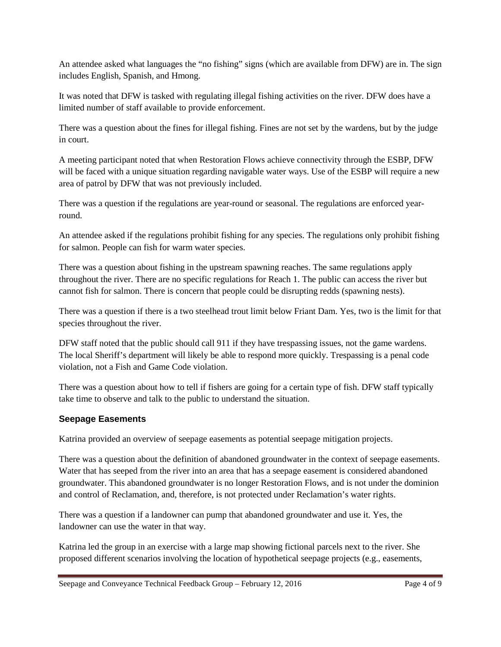An attendee asked what languages the "no fishing" signs (which are available from DFW) are in. The sign includes English, Spanish, and Hmong.

It was noted that DFW is tasked with regulating illegal fishing activities on the river. DFW does have a limited number of staff available to provide enforcement.

There was a question about the fines for illegal fishing. Fines are not set by the wardens, but by the judge in court.

A meeting participant noted that when Restoration Flows achieve connectivity through the ESBP, DFW will be faced with a unique situation regarding navigable water ways. Use of the ESBP will require a new area of patrol by DFW that was not previously included.

There was a question if the regulations are year-round or seasonal. The regulations are enforced yearround.

An attendee asked if the regulations prohibit fishing for any species. The regulations only prohibit fishing for salmon. People can fish for warm water species.

There was a question about fishing in the upstream spawning reaches. The same regulations apply throughout the river. There are no specific regulations for Reach 1. The public can access the river but cannot fish for salmon. There is concern that people could be disrupting redds (spawning nests).

There was a question if there is a two steelhead trout limit below Friant Dam. Yes, two is the limit for that species throughout the river.

DFW staff noted that the public should call 911 if they have trespassing issues, not the game wardens. The local Sheriff's department will likely be able to respond more quickly. Trespassing is a penal code violation, not a Fish and Game Code violation.

There was a question about how to tell if fishers are going for a certain type of fish. DFW staff typically take time to observe and talk to the public to understand the situation.

### **Seepage Easements**

Katrina provided an overview of seepage easements as potential seepage mitigation projects.

There was a question about the definition of abandoned groundwater in the context of seepage easements. Water that has seeped from the river into an area that has a seepage easement is considered abandoned groundwater. This abandoned groundwater is no longer Restoration Flows, and is not under the dominion and control of Reclamation, and, therefore, is not protected under Reclamation's water rights.

There was a question if a landowner can pump that abandoned groundwater and use it. Yes, the landowner can use the water in that way.

Katrina led the group in an exercise with a large map showing fictional parcels next to the river. She proposed different scenarios involving the location of hypothetical seepage projects (e.g., easements,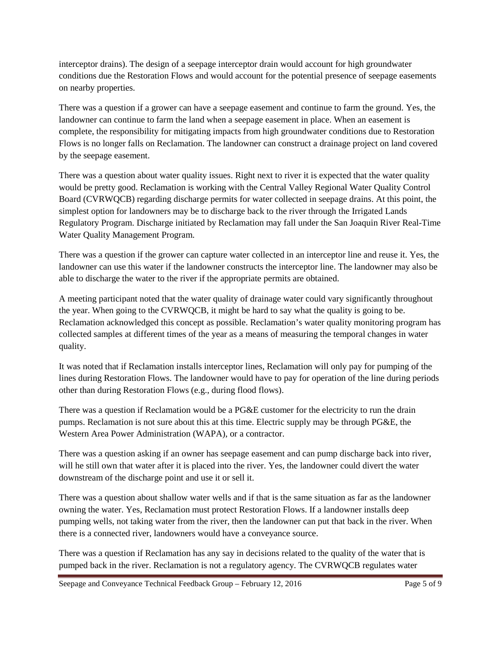interceptor drains). The design of a seepage interceptor drain would account for high groundwater conditions due the Restoration Flows and would account for the potential presence of seepage easements on nearby properties.

There was a question if a grower can have a seepage easement and continue to farm the ground. Yes, the landowner can continue to farm the land when a seepage easement in place. When an easement is complete, the responsibility for mitigating impacts from high groundwater conditions due to Restoration Flows is no longer falls on Reclamation. The landowner can construct a drainage project on land covered by the seepage easement.

There was a question about water quality issues. Right next to river it is expected that the water quality would be pretty good. Reclamation is working with the Central Valley Regional Water Quality Control Board (CVRWQCB) regarding discharge permits for water collected in seepage drains. At this point, the simplest option for landowners may be to discharge back to the river through the Irrigated Lands Regulatory Program. Discharge initiated by Reclamation may fall under the San Joaquin River Real-Time Water Quality Management Program.

There was a question if the grower can capture water collected in an interceptor line and reuse it. Yes, the landowner can use this water if the landowner constructs the interceptor line. The landowner may also be able to discharge the water to the river if the appropriate permits are obtained.

A meeting participant noted that the water quality of drainage water could vary significantly throughout the year. When going to the CVRWQCB, it might be hard to say what the quality is going to be. Reclamation acknowledged this concept as possible. Reclamation's water quality monitoring program has collected samples at different times of the year as a means of measuring the temporal changes in water quality.

It was noted that if Reclamation installs interceptor lines, Reclamation will only pay for pumping of the lines during Restoration Flows. The landowner would have to pay for operation of the line during periods other than during Restoration Flows (e.g., during flood flows).

There was a question if Reclamation would be a PG&E customer for the electricity to run the drain pumps. Reclamation is not sure about this at this time. Electric supply may be through PG&E, the Western Area Power Administration (WAPA), or a contractor.

There was a question asking if an owner has seepage easement and can pump discharge back into river, will he still own that water after it is placed into the river. Yes, the landowner could divert the water downstream of the discharge point and use it or sell it.

There was a question about shallow water wells and if that is the same situation as far as the landowner owning the water. Yes, Reclamation must protect Restoration Flows. If a landowner installs deep pumping wells, not taking water from the river, then the landowner can put that back in the river. When there is a connected river, landowners would have a conveyance source.

There was a question if Reclamation has any say in decisions related to the quality of the water that is pumped back in the river. Reclamation is not a regulatory agency. The CVRWQCB regulates water

Seepage and Conveyance Technical Feedback Group – February 12, 2016 Page 5 of 9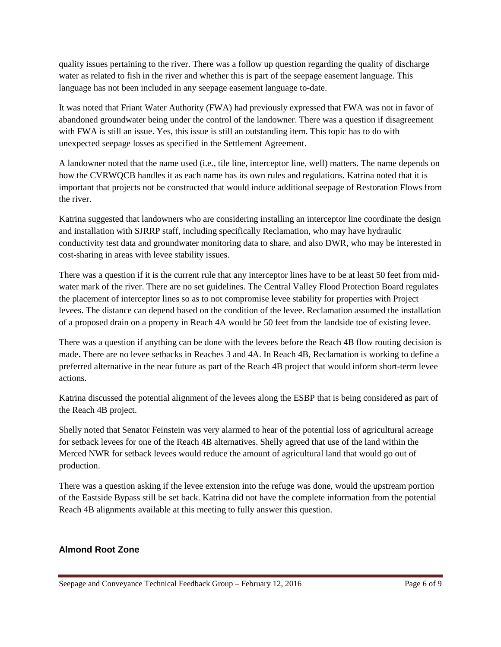quality issues pertaining to the river. There was a follow up question regarding the quality of discharge water as related to fish in the river and whether this is part of the seepage easement language. This language has not been included in any seepage easement language to-date.

It was noted that Friant Water Authority (FWA) had previously expressed that FWA was not in favor of abandoned groundwater being under the control of the landowner. There was a question if disagreement with FWA is still an issue. Yes, this issue is still an outstanding item. This topic has to do with unexpected seepage losses as specified in the Settlement Agreement.

A landowner noted that the name used (i.e*.,* tile line, interceptor line, well) matters. The name depends on how the CVRWQCB handles it as each name has its own rules and regulations. Katrina noted that it is important that projects not be constructed that would induce additional seepage of Restoration Flows from the river.

Katrina suggested that landowners who are considering installing an interceptor line coordinate the design and installation with SJRRP staff, including specifically Reclamation, who may have hydraulic conductivity test data and groundwater monitoring data to share, and also DWR, who may be interested in cost-sharing in areas with levee stability issues.

There was a question if it is the current rule that any interceptor lines have to be at least 50 feet from midwater mark of the river. There are no set guidelines. The Central Valley Flood Protection Board regulates the placement of interceptor lines so as to not compromise levee stability for properties with Project levees. The distance can depend based on the condition of the levee. Reclamation assumed the installation of a proposed drain on a property in Reach 4A would be 50 feet from the landside toe of existing levee.

There was a question if anything can be done with the levees before the Reach 4B flow routing decision is made. There are no levee setbacks in Reaches 3 and 4A. In Reach 4B, Reclamation is working to define a preferred alternative in the near future as part of the Reach 4B project that would inform short-term levee actions.

Katrina discussed the potential alignment of the levees along the ESBP that is being considered as part of the Reach 4B project.

Shelly noted that Senator Feinstein was very alarmed to hear of the potential loss of agricultural acreage for setback levees for one of the Reach 4B alternatives. Shelly agreed that use of the land within the Merced NWR for setback levees would reduce the amount of agricultural land that would go out of production.

There was a question asking if the levee extension into the refuge was done, would the upstream portion of the Eastside Bypass still be set back. Katrina did not have the complete information from the potential Reach 4B alignments available at this meeting to fully answer this question.

### **Almond Root Zone**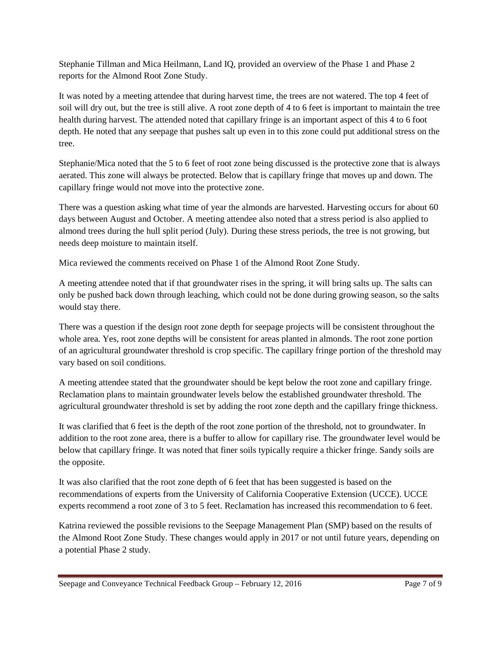Stephanie Tillman and Mica Heilmann, Land IQ, provided an overview of the Phase 1 and Phase 2 reports for the Almond Root Zone Study.

It was noted by a meeting attendee that during harvest time, the trees are not watered. The top 4 feet of soil will dry out, but the tree is still alive. A root zone depth of 4 to 6 feet is important to maintain the tree health during harvest. The attended noted that capillary fringe is an important aspect of this 4 to 6 foot depth. He noted that any seepage that pushes salt up even in to this zone could put additional stress on the tree.

Stephanie/Mica noted that the 5 to 6 feet of root zone being discussed is the protective zone that is always aerated. This zone will always be protected. Below that is capillary fringe that moves up and down. The capillary fringe would not move into the protective zone.

There was a question asking what time of year the almonds are harvested. Harvesting occurs for about 60 days between August and October. A meeting attendee also noted that a stress period is also applied to almond trees during the hull split period (July). During these stress periods, the tree is not growing, but needs deep moisture to maintain itself.

Mica reviewed the comments received on Phase 1 of the Almond Root Zone Study.

A meeting attendee noted that if that groundwater rises in the spring, it will bring salts up. The salts can only be pushed back down through leaching, which could not be done during growing season, so the salts would stay there.

There was a question if the design root zone depth for seepage projects will be consistent throughout the whole area. Yes, root zone depths will be consistent for areas planted in almonds. The root zone portion of an agricultural groundwater threshold is crop specific. The capillary fringe portion of the threshold may vary based on soil conditions.

A meeting attendee stated that the groundwater should be kept below the root zone and capillary fringe. Reclamation plans to maintain groundwater levels below the established groundwater threshold. The agricultural groundwater threshold is set by adding the root zone depth and the capillary fringe thickness.

It was clarified that 6 feet is the depth of the root zone portion of the threshold, not to groundwater. In addition to the root zone area, there is a buffer to allow for capillary rise. The groundwater level would be below that capillary fringe. It was noted that finer soils typically require a thicker fringe. Sandy soils are the opposite.

It was also clarified that the root zone depth of 6 feet that has been suggested is based on the recommendations of experts from the University of California Cooperative Extension (UCCE). UCCE experts recommend a root zone of 3 to 5 feet. Reclamation has increased this recommendation to 6 feet.

Katrina reviewed the possible revisions to the Seepage Management Plan (SMP) based on the results of the Almond Root Zone Study. These changes would apply in 2017 or not until future years, depending on a potential Phase 2 study.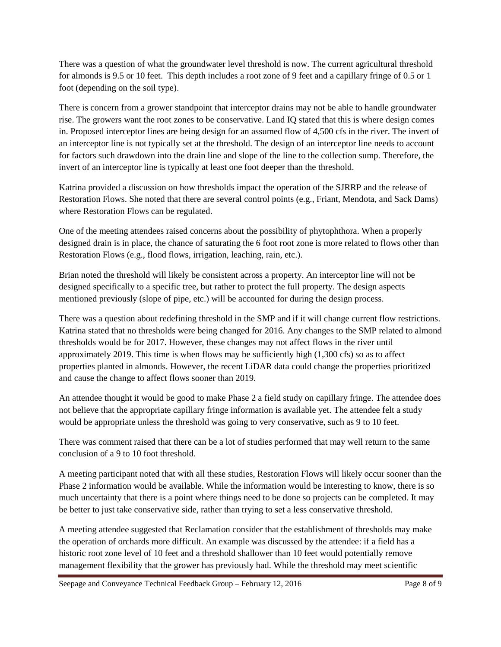There was a question of what the groundwater level threshold is now. The current agricultural threshold for almonds is 9.5 or 10 feet. This depth includes a root zone of 9 feet and a capillary fringe of 0.5 or 1 foot (depending on the soil type).

There is concern from a grower standpoint that interceptor drains may not be able to handle groundwater rise. The growers want the root zones to be conservative. Land IQ stated that this is where design comes in. Proposed interceptor lines are being design for an assumed flow of 4,500 cfs in the river. The invert of an interceptor line is not typically set at the threshold. The design of an interceptor line needs to account for factors such drawdown into the drain line and slope of the line to the collection sump. Therefore, the invert of an interceptor line is typically at least one foot deeper than the threshold.

Katrina provided a discussion on how thresholds impact the operation of the SJRRP and the release of Restoration Flows. She noted that there are several control points (e.g., Friant, Mendota, and Sack Dams) where Restoration Flows can be regulated.

One of the meeting attendees raised concerns about the possibility of phytophthora. When a properly designed drain is in place, the chance of saturating the 6 foot root zone is more related to flows other than Restoration Flows (e.g., flood flows, irrigation, leaching, rain, etc.).

Brian noted the threshold will likely be consistent across a property. An interceptor line will not be designed specifically to a specific tree, but rather to protect the full property. The design aspects mentioned previously (slope of pipe, etc.) will be accounted for during the design process.

There was a question about redefining threshold in the SMP and if it will change current flow restrictions. Katrina stated that no thresholds were being changed for 2016. Any changes to the SMP related to almond thresholds would be for 2017. However, these changes may not affect flows in the river until approximately 2019. This time is when flows may be sufficiently high (1,300 cfs) so as to affect properties planted in almonds. However, the recent LiDAR data could change the properties prioritized and cause the change to affect flows sooner than 2019.

An attendee thought it would be good to make Phase 2 a field study on capillary fringe. The attendee does not believe that the appropriate capillary fringe information is available yet. The attendee felt a study would be appropriate unless the threshold was going to very conservative, such as 9 to 10 feet.

There was comment raised that there can be a lot of studies performed that may well return to the same conclusion of a 9 to 10 foot threshold.

A meeting participant noted that with all these studies, Restoration Flows will likely occur sooner than the Phase 2 information would be available. While the information would be interesting to know, there is so much uncertainty that there is a point where things need to be done so projects can be completed. It may be better to just take conservative side, rather than trying to set a less conservative threshold.

A meeting attendee suggested that Reclamation consider that the establishment of thresholds may make the operation of orchards more difficult. An example was discussed by the attendee: if a field has a historic root zone level of 10 feet and a threshold shallower than 10 feet would potentially remove management flexibility that the grower has previously had. While the threshold may meet scientific

Seepage and Conveyance Technical Feedback Group – February 12, 2016 Page 8 of 9